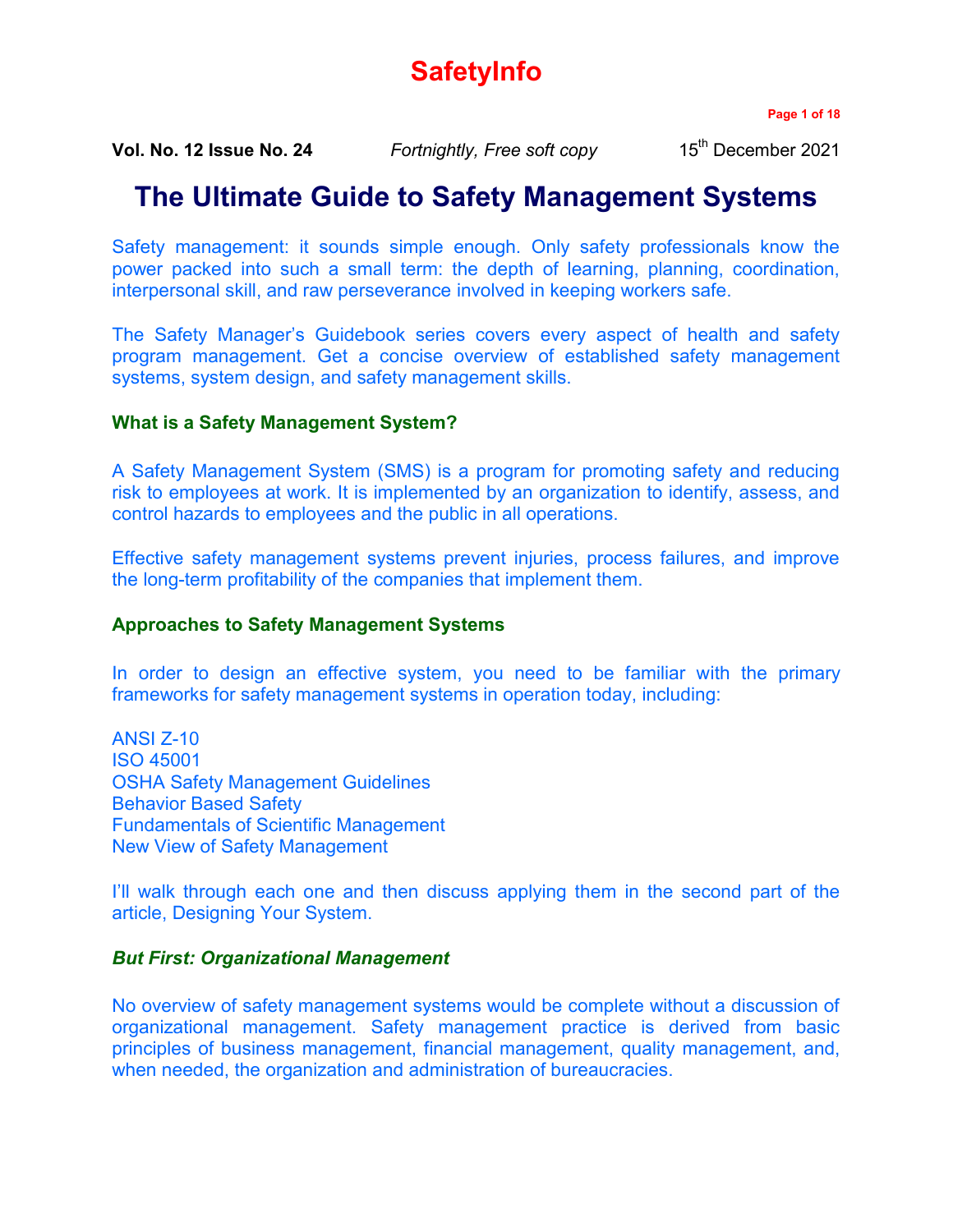# **SafetyInfo**

**Page 1 of 18**

**Vol. No. 12 Issue No. 24** *Fortnightly, Free soft copy* 15<sup>th</sup> December 2021

## **The Ultimate Guide to Safety Management Systems**

Safety management: it sounds simple enough. Only safety professionals know the power packed into such a small term: the depth of learning, planning, coordination, interpersonal skill, and raw perseverance involved in keeping workers safe.

The Safety Manager's Guidebook series covers every aspect of health and safety program management. Get a concise overview of established safety management systems, system design, and safety management skills.

## **What is a Safety Management System?**

A Safety Management System (SMS) is a program for promoting safety and reducing risk to employees at work. It is implemented by an organization to identify, assess, and control hazards to employees and the public in all operations.

Effective safety management systems prevent injuries, process failures, and improve the long-term profitability of the companies that implement them.

## **Approaches to Safety Management Systems**

In order to design an effective system, you need to be familiar with the primary frameworks for safety management systems in operation today, including:

ANSI Z-10 ISO 45001 OSHA Safety Management Guidelines Behavior Based Safety Fundamentals of Scientific Management New View of Safety Management

I'll walk through each one and then discuss applying them in the second part of the article, Designing Your System.

## *But First: Organizational Management*

No overview of safety management systems would be complete without a discussion of organizational management. Safety management practice is derived from basic principles of business management, financial management, quality management, and, when needed, the organization and administration of bureaucracies.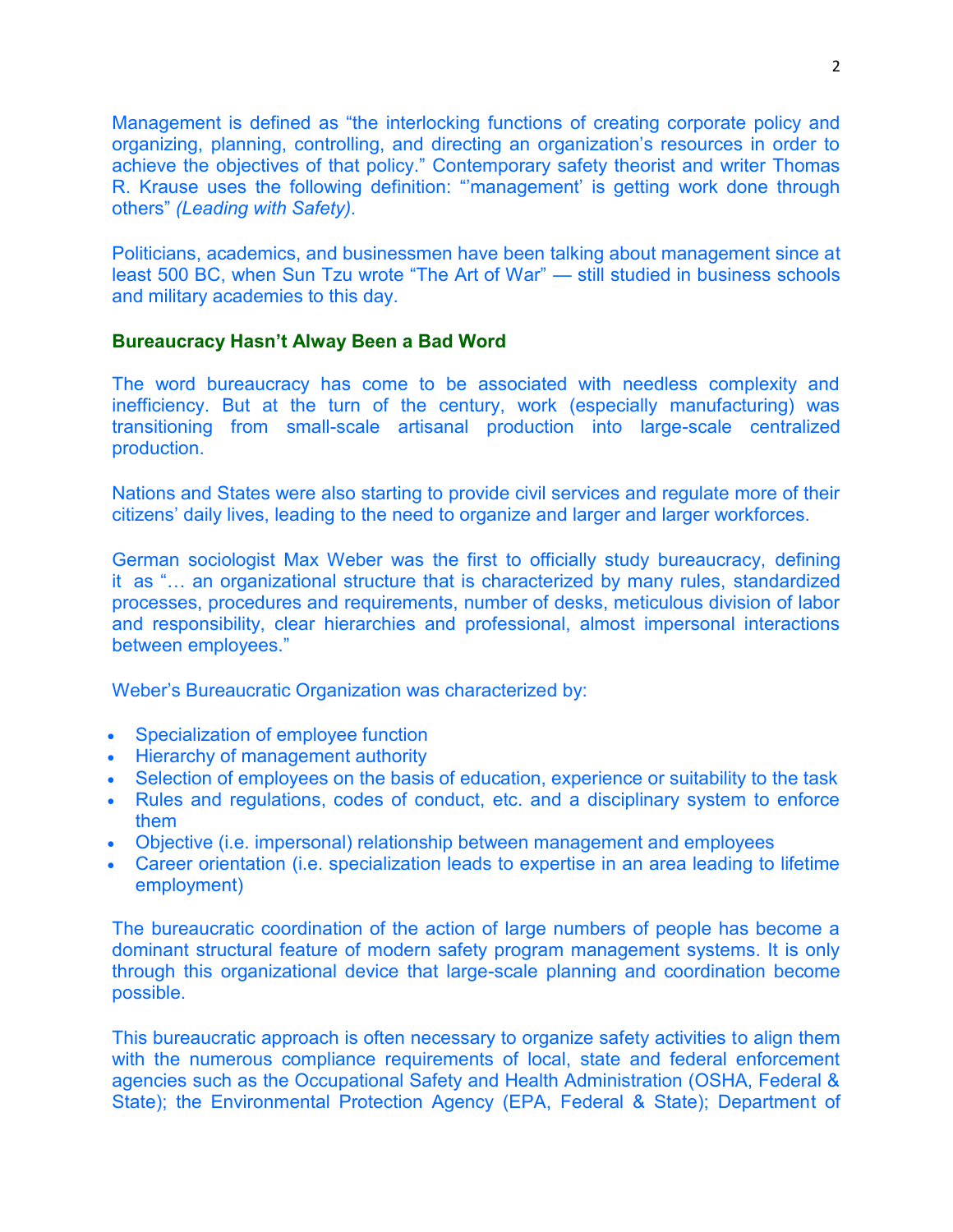Management is defined as "the interlocking functions of creating corporate policy and organizing, planning, controlling, and directing an organization's resources in order to achieve the objectives of that policy." Contemporary safety theorist and writer Thomas R. Krause uses the following definition: "'management' is getting work done through others" *(Leading with Safety).*

Politicians, academics, and businessmen have been talking about management since at least 500 BC, when Sun Tzu wrote "The Art of War" — still studied in business schools and military academies to this day.

#### **Bureaucracy Hasn't Alway Been a Bad Word**

The word bureaucracy has come to be associated with needless complexity and inefficiency. But at the turn of the century, work (especially manufacturing) was transitioning from small-scale artisanal production into large-scale centralized production.

Nations and States were also starting to provide civil services and regulate more of their citizens' daily lives, leading to the need to organize and larger and larger workforces.

German sociologist Max Weber was the first to officially study bureaucracy, defining it as "… an organizational structure that is characterized by many rules, standardized processes, procedures and requirements, number of desks, meticulous division of labor and responsibility, clear hierarchies and professional, almost impersonal interactions between employees."

Weber's Bureaucratic Organization was characterized by:

- Specialization of employee function
- Hierarchy of management authority
- Selection of employees on the basis of education, experience or suitability to the task
- Rules and regulations, codes of conduct, etc. and a disciplinary system to enforce them
- Objective (i.e. impersonal) relationship between management and employees
- Career orientation (i.e. specialization leads to expertise in an area leading to lifetime employment)

The bureaucratic coordination of the action of large numbers of people has become a dominant structural feature of modern safety program management systems. It is only through this organizational device that large-scale planning and coordination become possible.

This bureaucratic approach is often necessary to organize safety activities to align them with the numerous compliance requirements of local, state and federal enforcement agencies such as the Occupational Safety and Health Administration (OSHA, Federal & State); the Environmental Protection Agency (EPA, Federal & State); Department of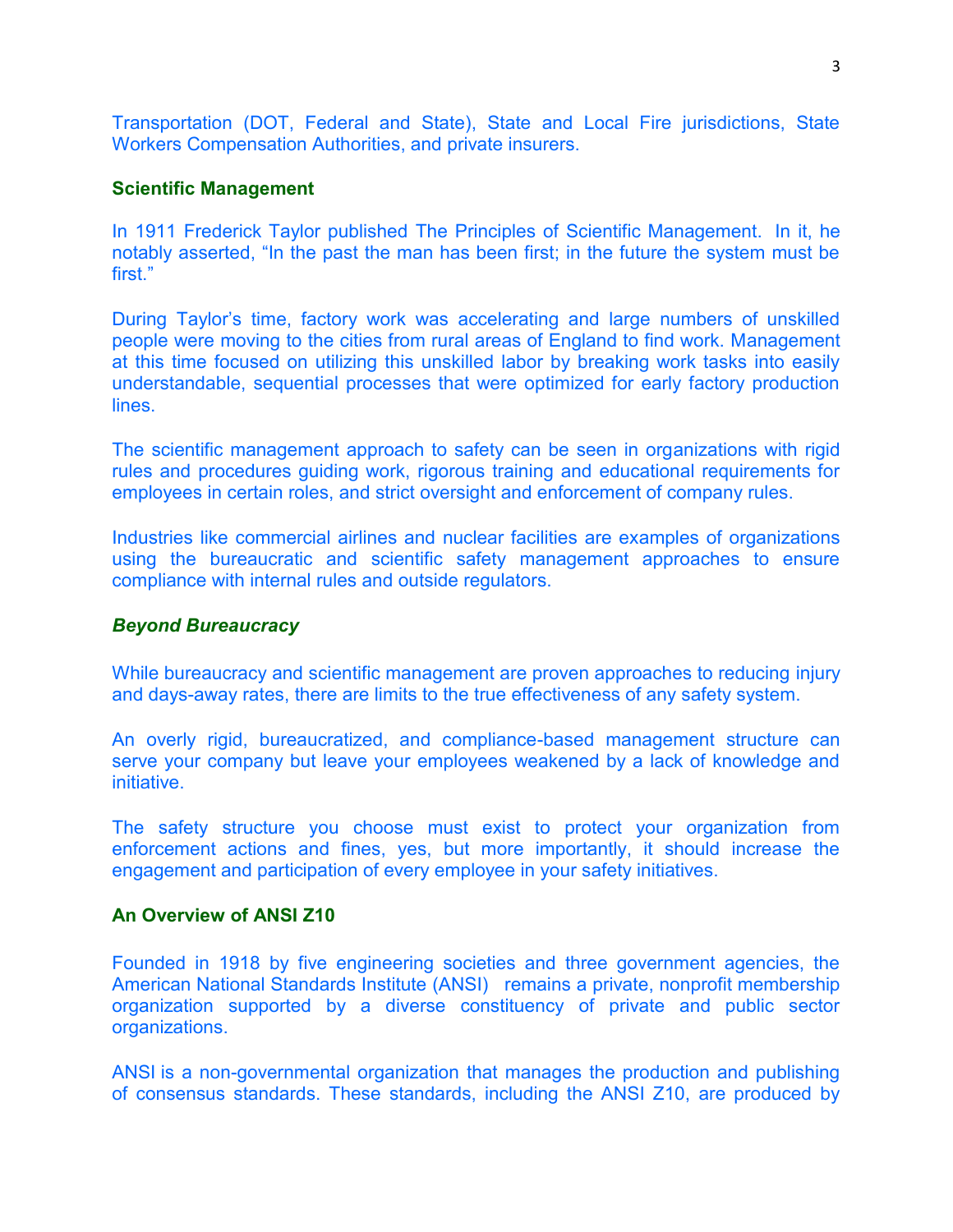Transportation (DOT, Federal and State), State and Local Fire jurisdictions, State Workers Compensation Authorities, and private insurers.

#### **Scientific Management**

In 1911 Frederick Taylor published The Principles of Scientific Management. In it, he notably asserted, "In the past the man has been first; in the future the system must be first."

During Taylor's time, factory work was accelerating and large numbers of unskilled people were moving to the cities from rural areas of England to find work. Management at this time focused on utilizing this unskilled labor by breaking work tasks into easily understandable, sequential processes that were optimized for early factory production lines.

The scientific management approach to safety can be seen in organizations with rigid rules and procedures guiding work, rigorous training and educational requirements for employees in certain roles, and strict oversight and enforcement of company rules.

Industries like commercial airlines and nuclear facilities are examples of organizations using the bureaucratic and scientific safety management approaches to ensure compliance with internal rules and outside regulators.

#### *Beyond Bureaucracy*

While bureaucracy and scientific management are proven approaches to reducing injury and days-away rates, there are limits to the true effectiveness of any safety system.

An overly rigid, bureaucratized, and compliance-based management structure can serve your company but leave your employees weakened by a lack of knowledge and initiative.

The safety structure you choose must exist to protect your organization from enforcement actions and fines, yes, but more importantly, it should increase the engagement and participation of every employee in your safety initiatives.

#### **An Overview of ANSI Z10**

Founded in 1918 by five engineering societies and three government agencies, the American National Standards Institute (ANSI) remains a private, nonprofit membership organization supported by a diverse constituency of private and public sector organizations.

ANSI is a non-governmental organization that manages the production and publishing of consensus standards. These standards, including the ANSI Z10, are produced by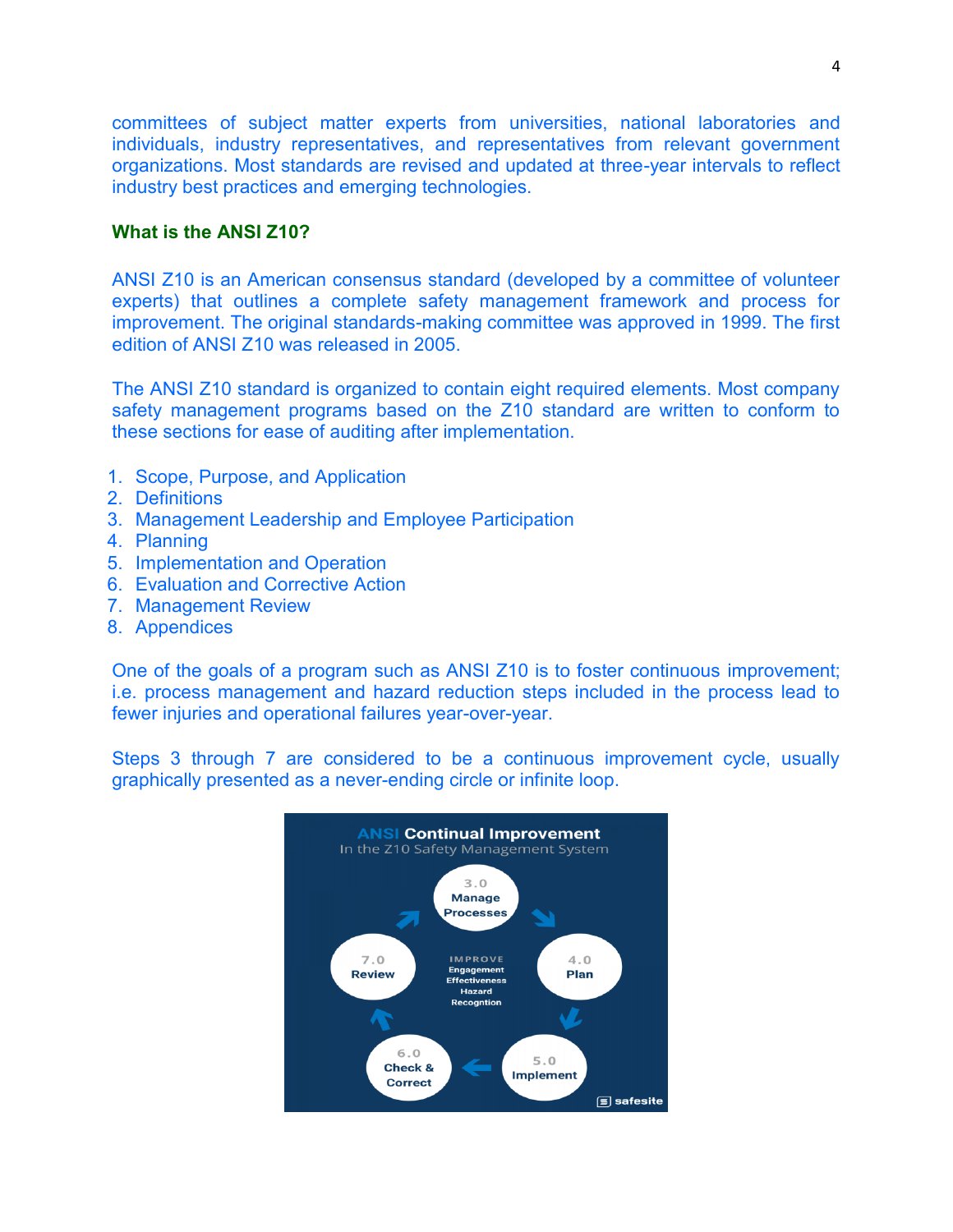committees of subject matter experts from universities, national laboratories and individuals, industry representatives, and representatives from relevant government organizations. Most standards are revised and updated at three-year intervals to reflect industry best practices and emerging technologies.

#### **What is the ANSI Z10?**

ANSI Z10 is an American consensus standard (developed by a committee of volunteer experts) that outlines a complete safety management framework and process for improvement. The original standards-making committee was approved in 1999. The first edition of ANSI Z10 was released in 2005.

The ANSI Z10 standard is organized to contain eight required elements. Most company safety management programs based on the Z10 standard are written to conform to these sections for ease of auditing after implementation.

- 1. Scope, Purpose, and Application
- 2. Definitions
- 3. Management Leadership and Employee Participation
- 4. Planning
- 5. Implementation and Operation
- 6. Evaluation and Corrective Action
- 7. Management Review
- 8. Appendices

One of the goals of a program such as ANSI Z10 is to foster continuous improvement; i.e. process management and hazard reduction steps included in the process lead to fewer injuries and operational failures year-over-year.

Steps 3 through 7 are considered to be a continuous improvement cycle, usually graphically presented as a never-ending circle or infinite loop.

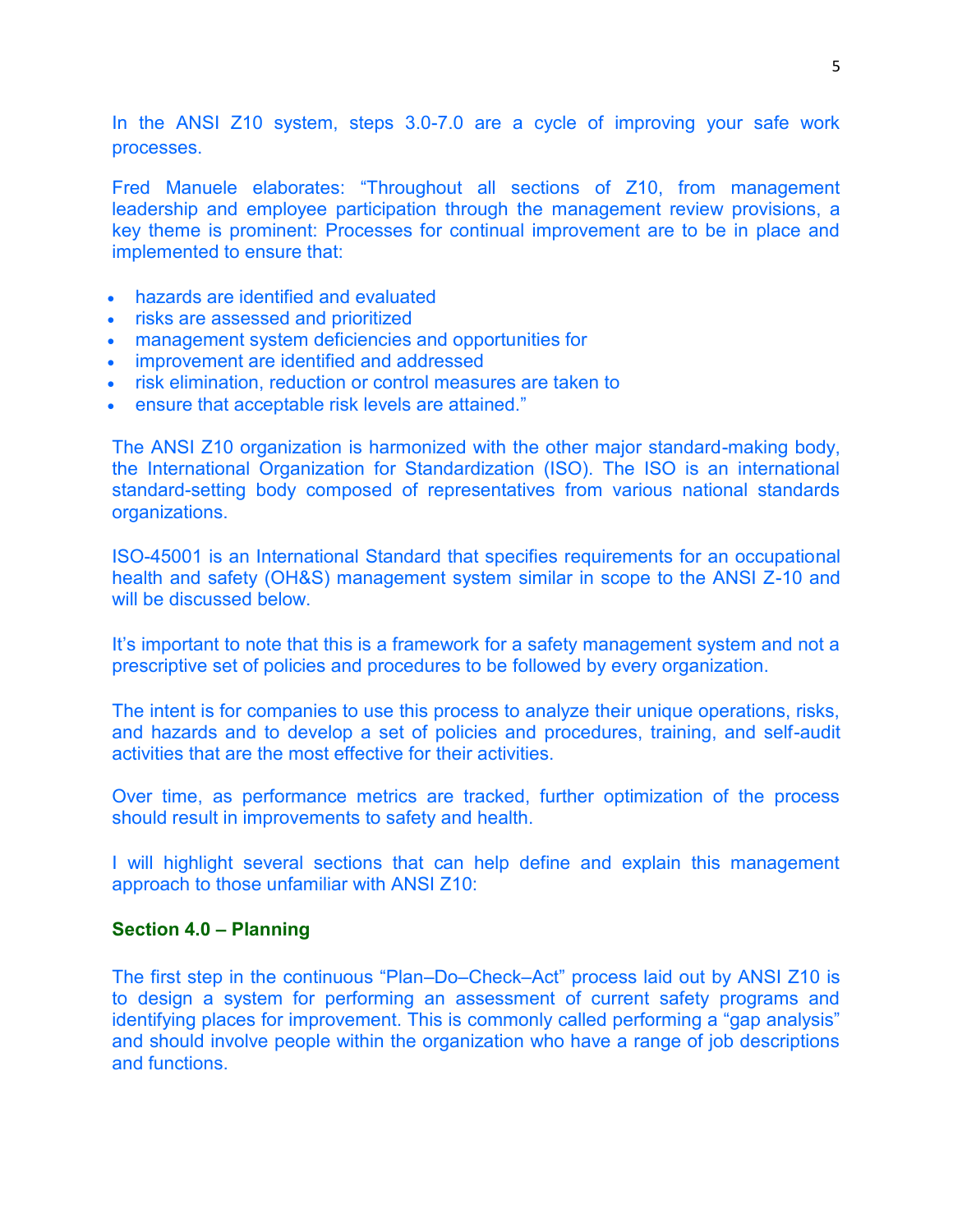In the ANSI Z10 system, steps 3.0-7.0 are a cycle of improving your safe work processes.

Fred Manuele elaborates: "Throughout all sections of Z10, from management leadership and employee participation through the management review provisions, a key theme is prominent: Processes for continual improvement are to be in place and implemented to ensure that:

- hazards are identified and evaluated
- risks are assessed and prioritized
- management system deficiencies and opportunities for
- improvement are identified and addressed
- risk elimination, reduction or control measures are taken to
- ensure that acceptable risk levels are attained."

The ANSI Z10 organization is harmonized with the other major standard-making body, the International Organization for Standardization (ISO). The ISO is an international standard-setting body composed of representatives from various national standards organizations.

ISO-45001 is an International Standard that specifies requirements for an occupational health and safety (OH&S) management system similar in scope to the ANSI Z-10 and will be discussed below.

It's important to note that this is a framework for a safety management system and not a prescriptive set of policies and procedures to be followed by every organization.

The intent is for companies to use this process to analyze their unique operations, risks, and hazards and to develop a set of policies and procedures, training, and self-audit activities that are the most effective for their activities.

Over time, as performance metrics are tracked, further optimization of the process should result in improvements to safety and health.

I will highlight several sections that can help define and explain this management approach to those unfamiliar with ANSI Z10:

#### **Section 4.0 – Planning**

The first step in the continuous "Plan–Do–Check–Act" process laid out by ANSI Z10 is to design a system for performing an assessment of current safety programs and identifying places for improvement. This is commonly called performing a "gap analysis" and should involve people within the organization who have a range of job descriptions and functions.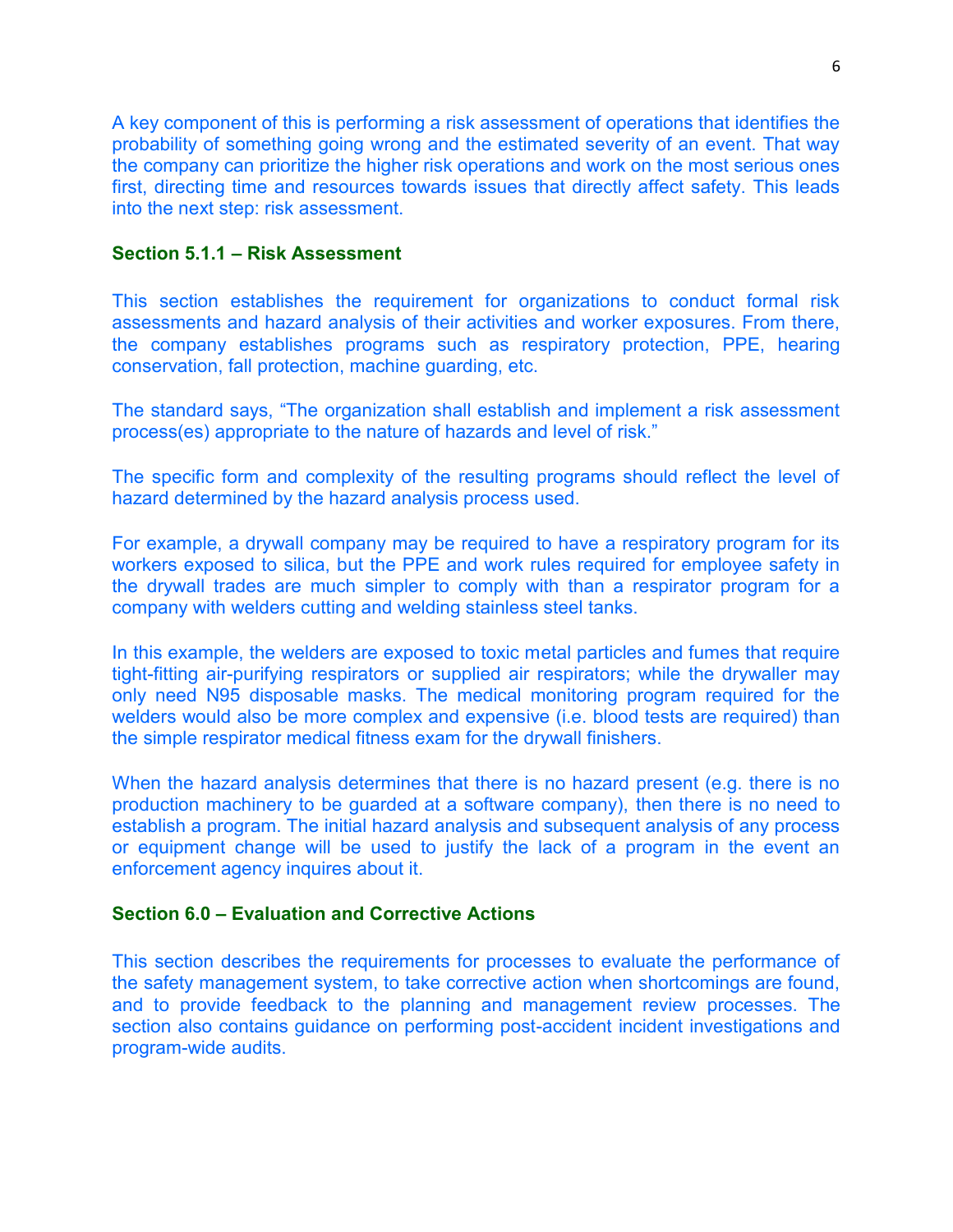A key component of this is performing a risk assessment of operations that identifies the probability of something going wrong and the estimated severity of an event. That way the company can prioritize the higher risk operations and work on the most serious ones first, directing time and resources towards issues that directly affect safety. This leads into the next step: risk assessment.

## **Section 5.1.1 – Risk Assessment**

This section establishes the requirement for organizations to conduct formal risk assessments and hazard analysis of their activities and worker exposures. From there, the company establishes programs such as respiratory protection, PPE, hearing conservation, fall protection, machine guarding, etc.

The standard says, "The organization shall establish and implement a risk assessment process(es) appropriate to the nature of hazards and level of risk."

The specific form and complexity of the resulting programs should reflect the level of hazard determined by the hazard analysis process used.

For example, a drywall company may be required to have a respiratory program for its workers exposed to silica, but the PPE and work rules required for employee safety in the drywall trades are much simpler to comply with than a respirator program for a company with welders cutting and welding stainless steel tanks.

In this example, the welders are exposed to toxic metal particles and fumes that require tight-fitting air-purifying respirators or supplied air respirators; while the drywaller may only need N95 disposable masks. The medical monitoring program required for the welders would also be more complex and expensive (i.e. blood tests are required) than the simple respirator medical fitness exam for the drywall finishers.

When the hazard analysis determines that there is no hazard present (e.g. there is no production machinery to be guarded at a software company), then there is no need to establish a program. The initial hazard analysis and subsequent analysis of any process or equipment change will be used to justify the lack of a program in the event an enforcement agency inquires about it.

#### **Section 6.0 – Evaluation and Corrective Actions**

This section describes the requirements for processes to evaluate the performance of the safety management system, to take corrective action when shortcomings are found, and to provide feedback to the planning and management review processes. The section also contains guidance on performing post-accident incident investigations and program-wide audits.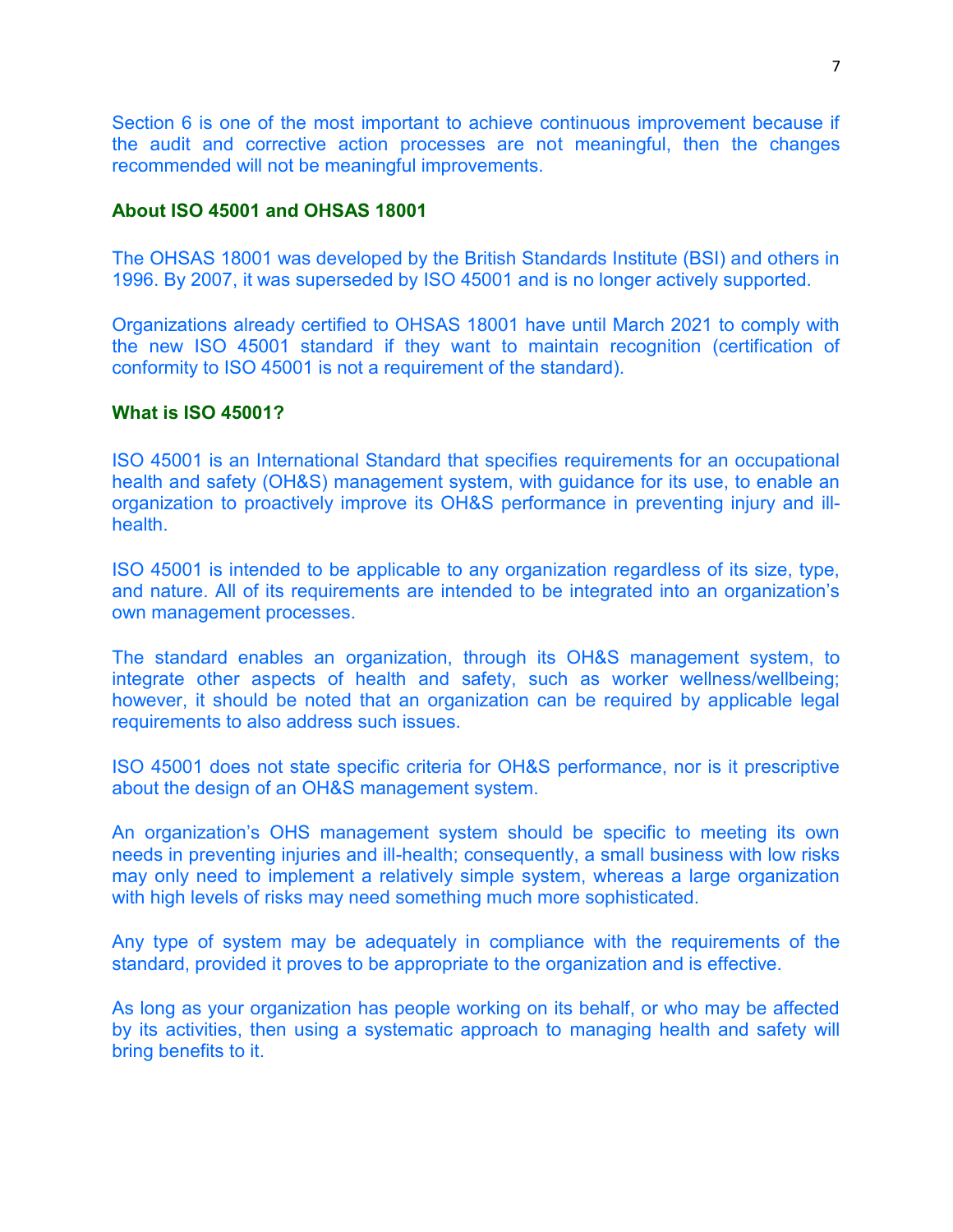Section 6 is one of the most important to achieve continuous improvement because if the audit and corrective action processes are not meaningful, then the changes recommended will not be meaningful improvements.

#### **About ISO 45001 and OHSAS 18001**

The OHSAS 18001 was developed by the British Standards Institute (BSI) and others in 1996. By 2007, it was superseded by ISO 45001 and is no longer actively supported.

Organizations already certified to OHSAS 18001 have until March 2021 to comply with the new ISO 45001 standard if they want to maintain recognition (certification of conformity to ISO 45001 is not a requirement of the standard).

#### **What is ISO 45001?**

ISO 45001 is an International Standard that specifies requirements for an occupational health and safety (OH&S) management system, with guidance for its use, to enable an organization to proactively improve its OH&S performance in preventing injury and illhealth.

ISO 45001 is intended to be applicable to any organization regardless of its size, type, and nature. All of its requirements are intended to be integrated into an organization's own management processes.

The standard enables an organization, through its OH&S management system, to integrate other aspects of health and safety, such as worker wellness/wellbeing; however, it should be noted that an organization can be required by applicable legal requirements to also address such issues.

ISO 45001 does not state specific criteria for OH&S performance, nor is it prescriptive about the design of an OH&S management system.

An organization's OHS management system should be specific to meeting its own needs in preventing injuries and ill-health; consequently, a small business with low risks may only need to implement a relatively simple system, whereas a large organization with high levels of risks may need something much more sophisticated.

Any type of system may be adequately in compliance with the requirements of the standard, provided it proves to be appropriate to the organization and is effective.

As long as your organization has people working on its behalf, or who may be affected by its activities, then using a systematic approach to managing health and safety will bring benefits to it.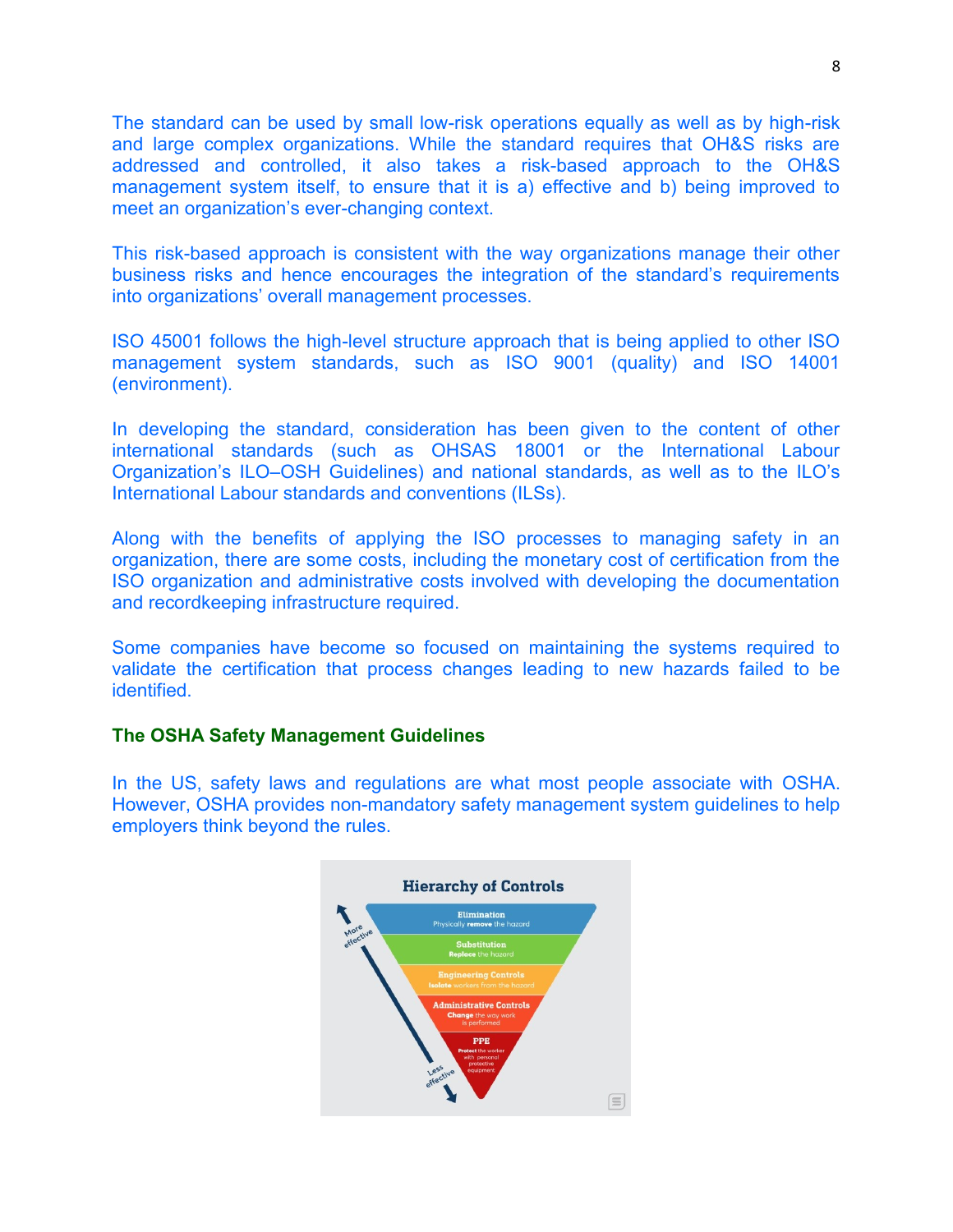The standard can be used by small low-risk operations equally as well as by high-risk and large complex organizations. While the standard requires that OH&S risks are addressed and controlled, it also takes a risk-based approach to the OH&S management system itself, to ensure that it is a) effective and b) being improved to meet an organization's ever-changing context.

This risk-based approach is consistent with the way organizations manage their other business risks and hence encourages the integration of the standard's requirements into organizations' overall management processes.

ISO 45001 follows the high-level structure approach that is being applied to other ISO management system standards, such as ISO 9001 (quality) and ISO 14001 (environment).

In developing the standard, consideration has been given to the content of other international standards (such as OHSAS 18001 or the International Labour Organization's ILO–OSH Guidelines) and national standards, as well as to the ILO's International Labour standards and conventions (ILSs).

Along with the benefits of applying the ISO processes to managing safety in an organization, there are some costs, including the monetary cost of certification from the ISO organization and administrative costs involved with developing the documentation and recordkeeping infrastructure required.

Some companies have become so focused on maintaining the systems required to validate the certification that process changes leading to new hazards failed to be identified.

#### **The OSHA Safety Management Guidelines**

In the US, safety laws and regulations are what most people associate with OSHA. However, OSHA provides non-mandatory safety management system guidelines to help employers think beyond the rules.

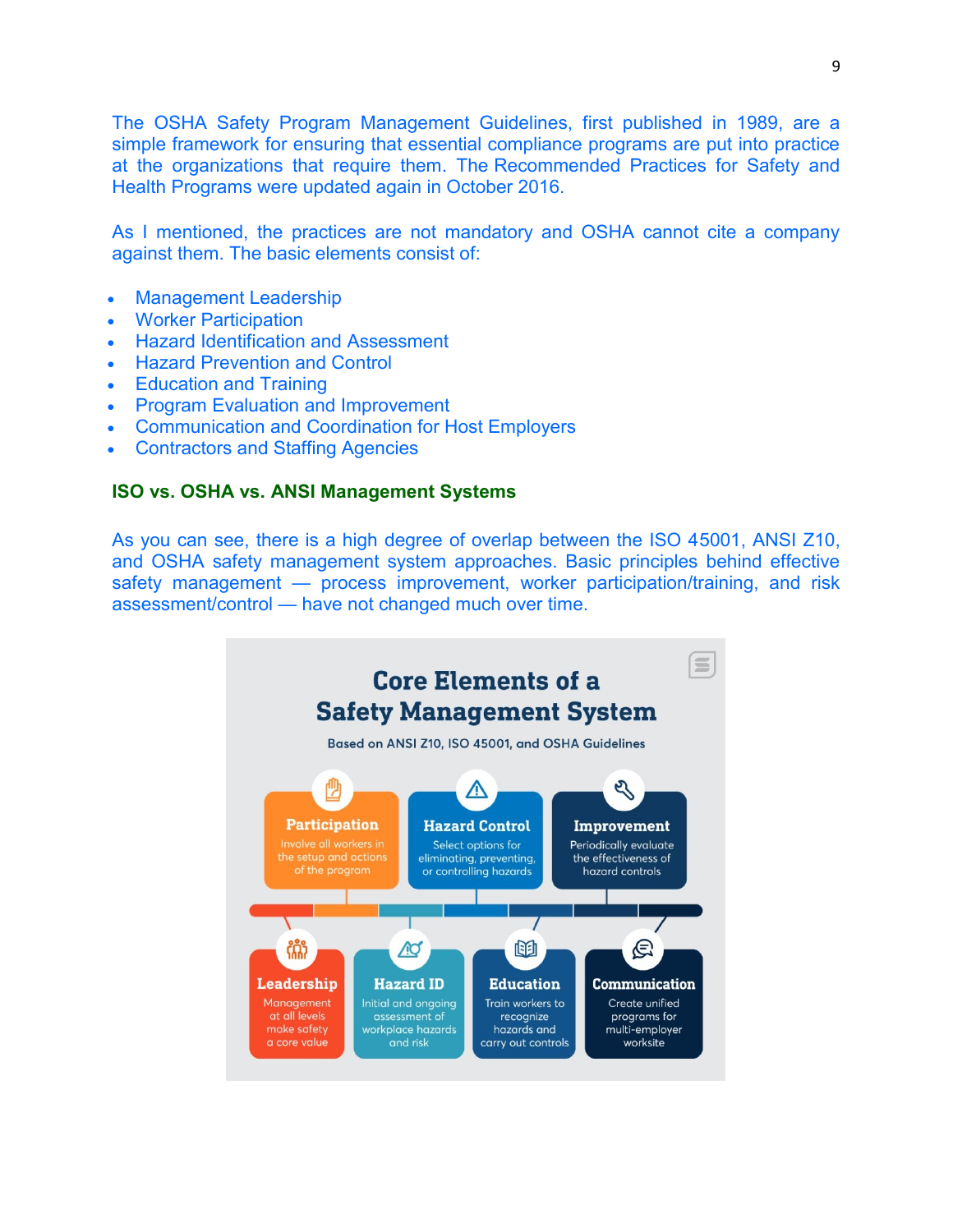The OSHA Safety Program Management Guidelines, first published in 1989, are a simple framework for ensuring that essential compliance programs are put into practice at the organizations that require them. The Recommended Practices for Safety and Health Programs were updated again in October 2016.

As I mentioned, the practices are not mandatory and OSHA cannot cite a company against them. The basic elements consist of:

- Management Leadership
- Worker Participation
- Hazard Identification and Assessment
- Hazard Prevention and Control
- Education and Training
- Program Evaluation and Improvement
- Communication and Coordination for Host Employers
- Contractors and Staffing Agencies

## **ISO vs. OSHA vs. ANSI Management Systems**

As you can see, there is a high degree of overlap between the ISO 45001, ANSI Z10, and OSHA safety management system approaches. Basic principles behind effective safety management - process improvement, worker participation/training, and risk assessment/control — have not changed much over time.

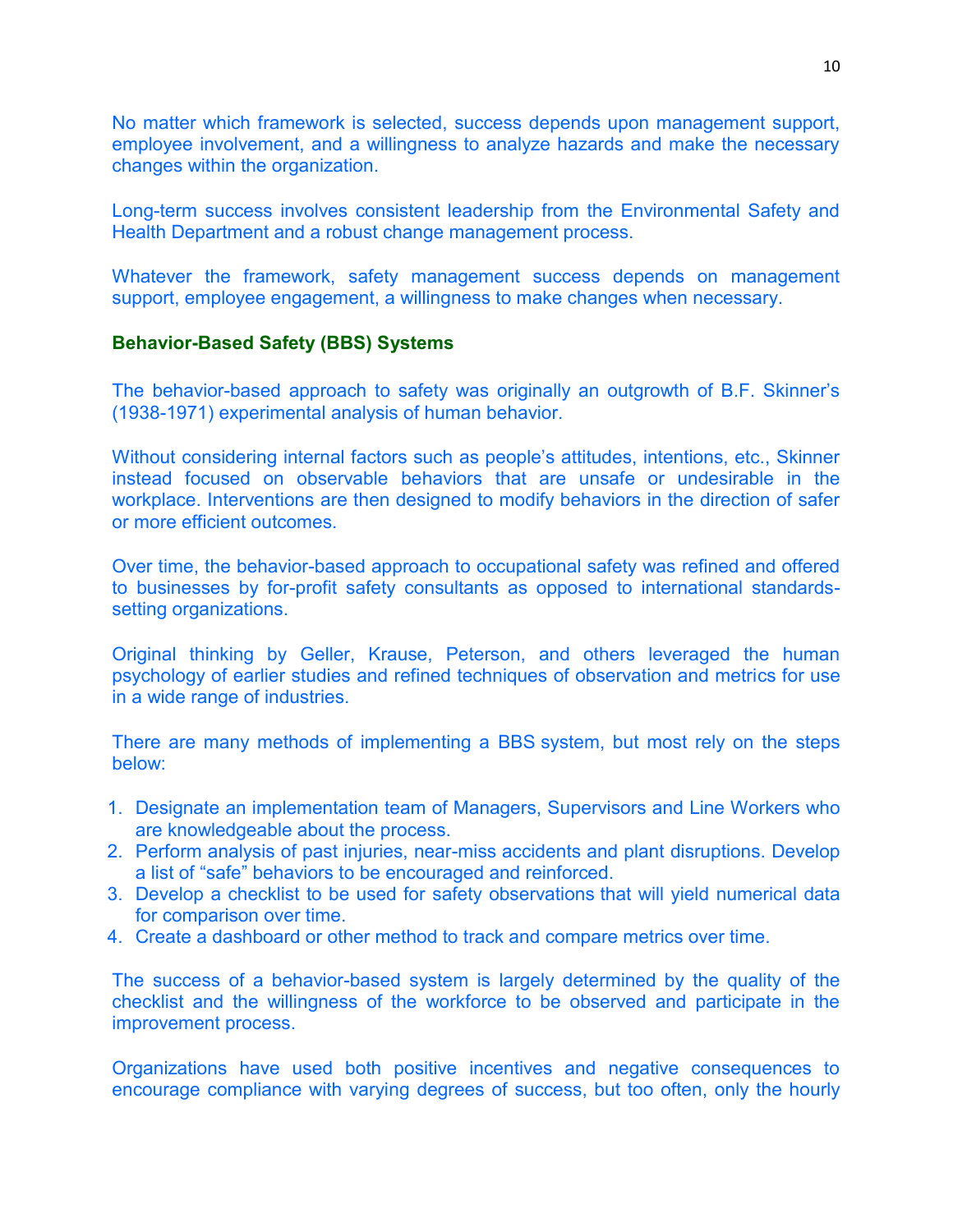No matter which framework is selected, success depends upon management support, employee involvement, and a willingness to analyze hazards and make the necessary changes within the organization.

Long-term success involves consistent leadership from the Environmental Safety and Health Department and a robust change management process.

Whatever the framework, safety management success depends on management support, employee engagement, a willingness to make changes when necessary.

## **Behavior-Based Safety (BBS) Systems**

The behavior-based approach to safety was originally an outgrowth of B.F. Skinner's (1938-1971) experimental analysis of human behavior.

Without considering internal factors such as people's attitudes, intentions, etc., Skinner instead focused on observable behaviors that are unsafe or undesirable in the workplace. Interventions are then designed to modify behaviors in the direction of safer or more efficient outcomes.

Over time, the behavior-based approach to occupational safety was refined and offered to businesses by for-profit safety consultants as opposed to international standardssetting organizations.

Original thinking by Geller, Krause, Peterson, and others leveraged the human psychology of earlier studies and refined techniques of observation and metrics for use in a wide range of industries.

There are many methods of implementing a BBS system, but most rely on the steps below:

- 1. Designate an implementation team of Managers, Supervisors and Line Workers who are knowledgeable about the process.
- 2. Perform analysis of past injuries, near-miss accidents and plant disruptions. Develop a list of "safe" behaviors to be encouraged and reinforced.
- 3. Develop a checklist to be used for safety observations that will yield numerical data for comparison over time.
- 4. Create a dashboard or other method to track and compare metrics over time.

The success of a behavior-based system is largely determined by the quality of the checklist and the willingness of the workforce to be observed and participate in the improvement process.

Organizations have used both positive incentives and negative consequences to encourage compliance with varying degrees of success, but too often, only the hourly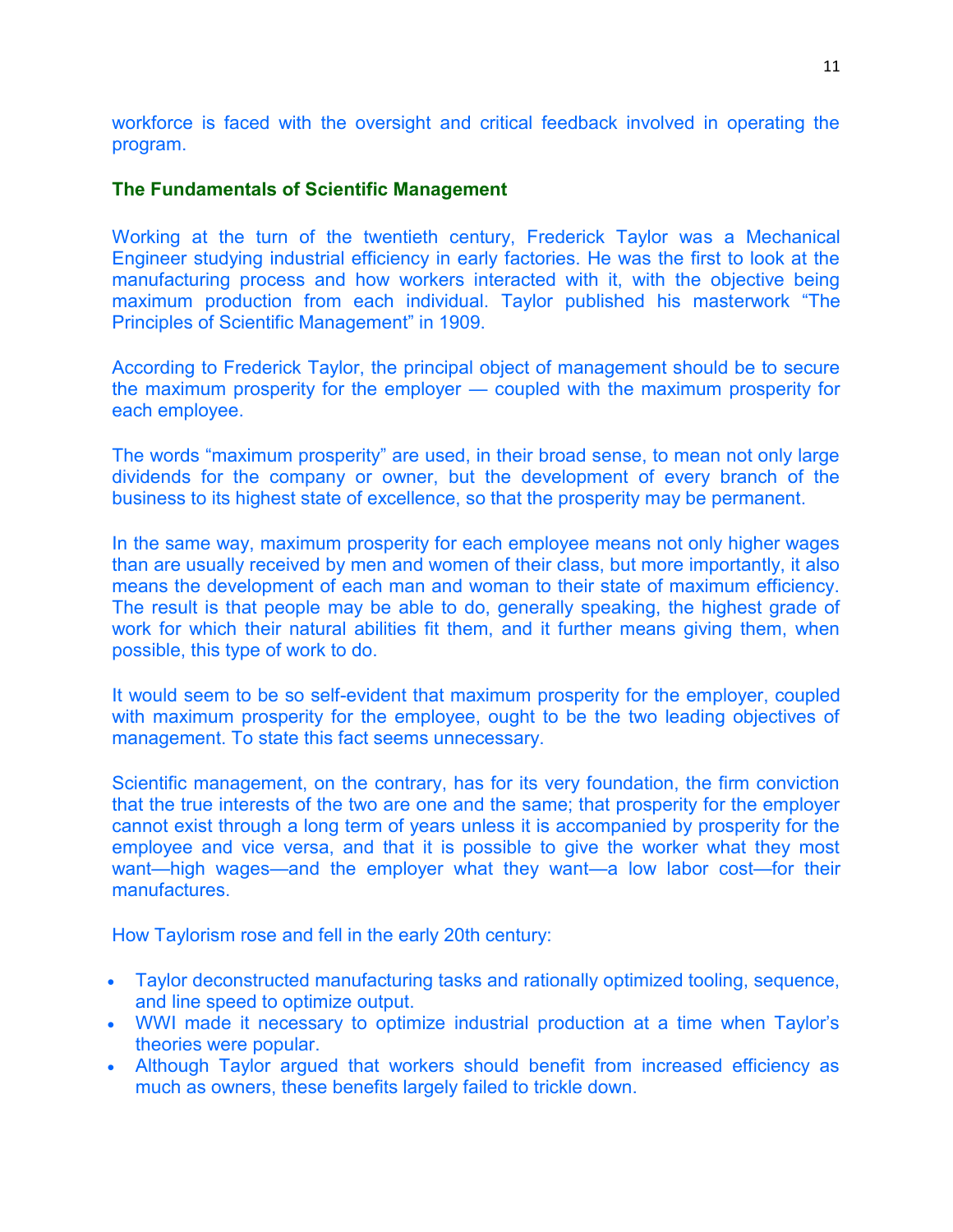workforce is faced with the oversight and critical feedback involved in operating the program.

## **The Fundamentals of Scientific Management**

Working at the turn of the twentieth century, Frederick Taylor was a Mechanical Engineer studying industrial efficiency in early factories. He was the first to look at the manufacturing process and how workers interacted with it, with the objective being maximum production from each individual. Taylor published his masterwork "The Principles of Scientific Management" in 1909.

According to Frederick Taylor, the principal object of management should be to secure the maximum prosperity for the employer — coupled with the maximum prosperity for each employee.

The words "maximum prosperity" are used, in their broad sense, to mean not only large dividends for the company or owner, but the development of every branch of the business to its highest state of excellence, so that the prosperity may be permanent.

In the same way, maximum prosperity for each employee means not only higher wages than are usually received by men and women of their class, but more importantly, it also means the development of each man and woman to their state of maximum efficiency. The result is that people may be able to do, generally speaking, the highest grade of work for which their natural abilities fit them, and it further means giving them, when possible, this type of work to do.

It would seem to be so self-evident that maximum prosperity for the employer, coupled with maximum prosperity for the employee, ought to be the two leading objectives of management. To state this fact seems unnecessary.

Scientific management, on the contrary, has for its very foundation, the firm conviction that the true interests of the two are one and the same; that prosperity for the employer cannot exist through a long term of years unless it is accompanied by prosperity for the employee and vice versa, and that it is possible to give the worker what they most want—high wages—and the employer what they want—a low labor cost—for their manufactures.

How Taylorism rose and fell in the early 20th century:

- Taylor deconstructed manufacturing tasks and rationally optimized tooling, sequence, and line speed to optimize output.
- WWI made it necessary to optimize industrial production at a time when Taylor's theories were popular.
- Although Taylor argued that workers should benefit from increased efficiency as much as owners, these benefits largely failed to trickle down.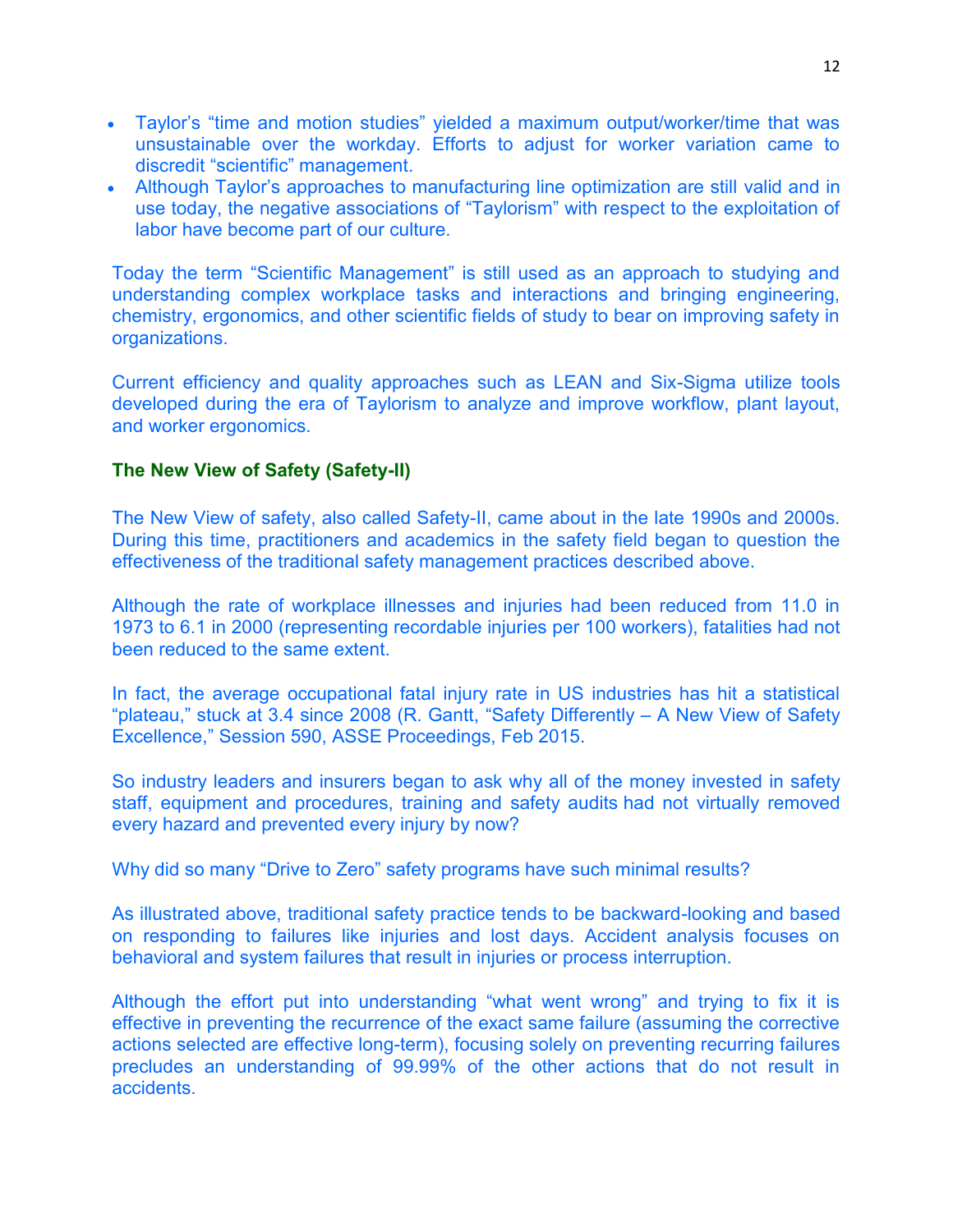- Taylor's "time and motion studies" yielded a maximum output/worker/time that was unsustainable over the workday. Efforts to adjust for worker variation came to discredit "scientific" management.
- Although Taylor's approaches to manufacturing line optimization are still valid and in use today, the negative associations of "Taylorism" with respect to the exploitation of labor have become part of our culture.

Today the term "Scientific Management" is still used as an approach to studying and understanding complex workplace tasks and interactions and bringing engineering, chemistry, ergonomics, and other scientific fields of study to bear on improving safety in organizations.

Current efficiency and quality approaches such as LEAN and Six-Sigma utilize tools developed during the era of Taylorism to analyze and improve workflow, plant layout, and worker ergonomics.

## **The New View of Safety (Safety-II)**

The New View of safety, also called Safety-II, came about in the late 1990s and 2000s. During this time, practitioners and academics in the safety field began to question the effectiveness of the traditional safety management practices described above.

Although the rate of workplace illnesses and injuries had been reduced from 11.0 in 1973 to 6.1 in 2000 (representing recordable injuries per 100 workers), fatalities had not been reduced to the same extent.

In fact, the average occupational fatal injury rate in US industries has hit a statistical "plateau," stuck at 3.4 since 2008 (R. Gantt, "Safety Differently – A New View of Safety Excellence," Session 590, ASSE Proceedings, Feb 2015.

So industry leaders and insurers began to ask why all of the money invested in safety staff, equipment and procedures, training and safety audits had not virtually removed every hazard and prevented every injury by now?

Why did so many "Drive to Zero" safety programs have such minimal results?

As illustrated above, traditional safety practice tends to be backward-looking and based on responding to failures like injuries and lost days. Accident analysis focuses on behavioral and system failures that result in injuries or process interruption.

Although the effort put into understanding "what went wrong" and trying to fix it is effective in preventing the recurrence of the exact same failure (assuming the corrective actions selected are effective long-term), focusing solely on preventing recurring failures precludes an understanding of 99.99% of the other actions that do not result in accidents.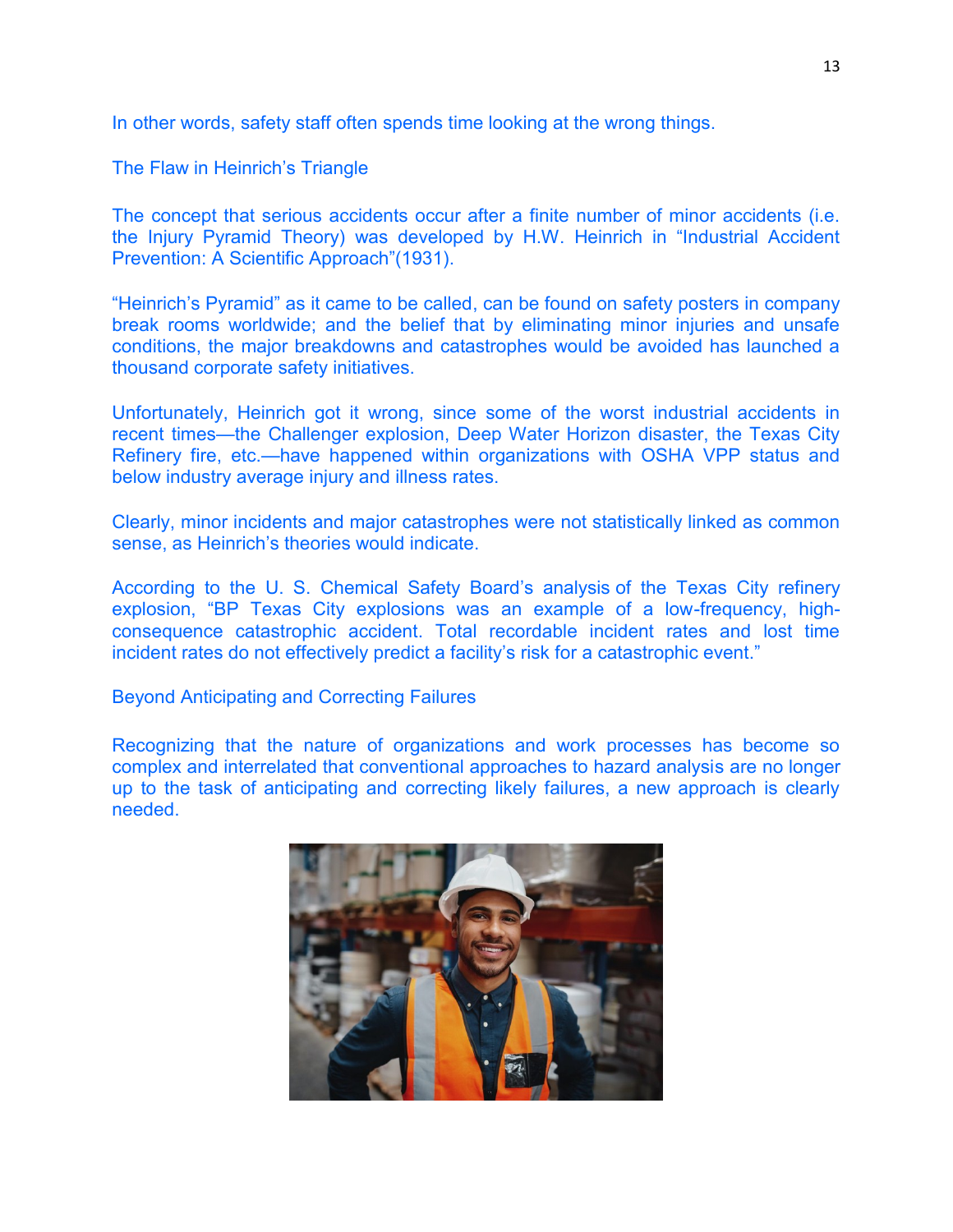In other words, safety staff often spends time looking at the wrong things.

The Flaw in Heinrich's Triangle

The concept that serious accidents occur after a finite number of minor accidents (i.e. the Injury Pyramid Theory) was developed by H.W. Heinrich in "Industrial Accident Prevention: A Scientific Approach"(1931).

"Heinrich's Pyramid" as it came to be called, can be found on safety posters in company break rooms worldwide; and the belief that by eliminating minor injuries and unsafe conditions, the major breakdowns and catastrophes would be avoided has launched a thousand corporate safety initiatives.

Unfortunately, Heinrich got it wrong, since some of the worst industrial accidents in recent times—the Challenger explosion, Deep Water Horizon disaster, the Texas City Refinery fire, etc.—have happened within organizations with OSHA VPP status and below industry average injury and illness rates.

Clearly, minor incidents and major catastrophes were not statistically linked as common sense, as Heinrich's theories would indicate.

According to the U. S. Chemical Safety Board's analysis of the Texas City refinery explosion, "BP Texas City explosions was an example of a low-frequency, highconsequence catastrophic accident. Total recordable incident rates and lost time incident rates do not effectively predict a facility's risk for a catastrophic event."

Beyond Anticipating and Correcting Failures

Recognizing that the nature of organizations and work processes has become so complex and interrelated that conventional approaches to hazard analysis are no longer up to the task of anticipating and correcting likely failures, a new approach is clearly needed.

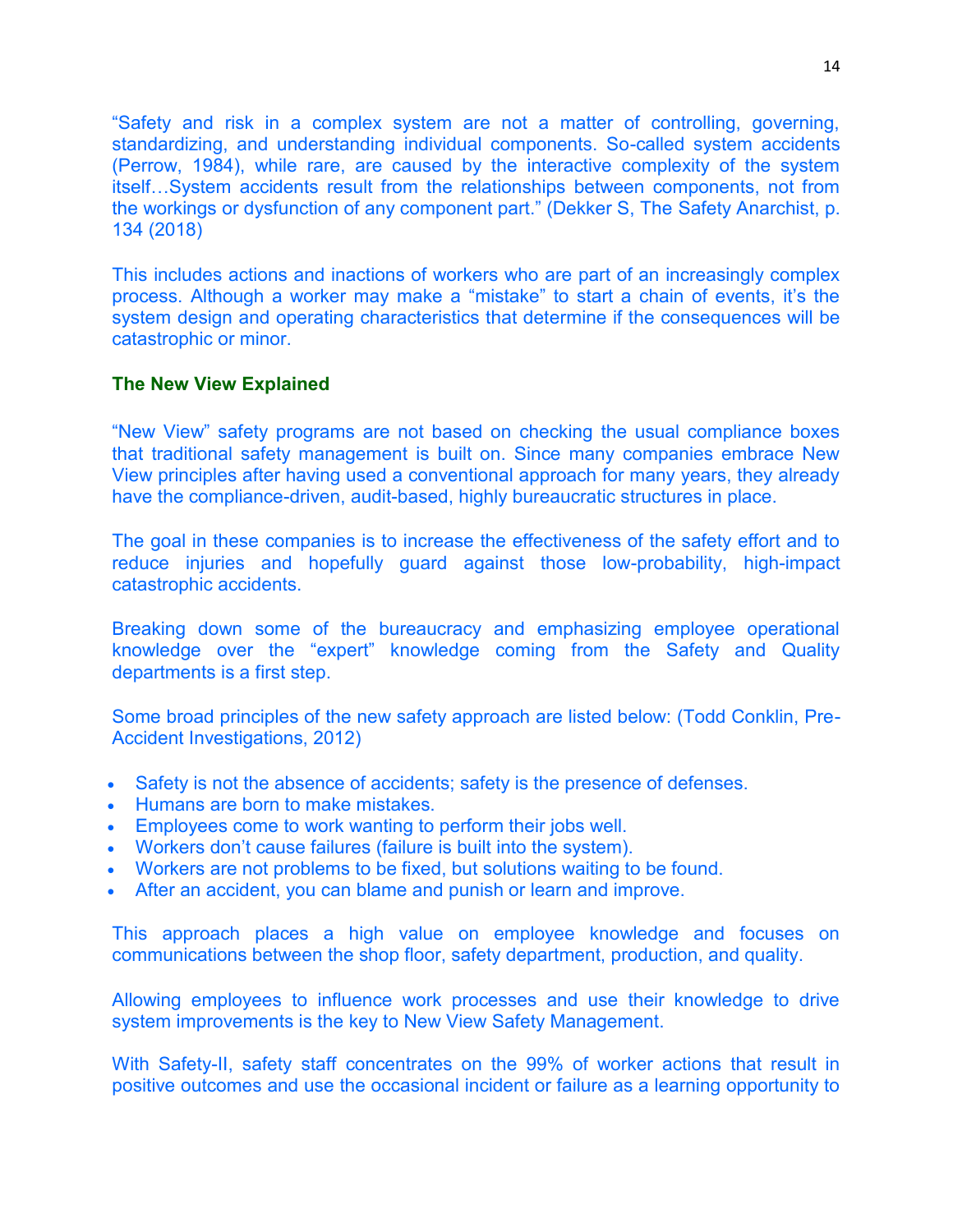"Safety and risk in a complex system are not a matter of controlling, governing, standardizing, and understanding individual components. So-called system accidents (Perrow, 1984), while rare, are caused by the interactive complexity of the system itself…System accidents result from the relationships between components, not from the workings or dysfunction of any component part." (Dekker S, The Safety Anarchist, p. 134 (2018)

This includes actions and inactions of workers who are part of an increasingly complex process. Although a worker may make a "mistake" to start a chain of events, it's the system design and operating characteristics that determine if the consequences will be catastrophic or minor.

## **The New View Explained**

"New View" safety programs are not based on checking the usual compliance boxes that traditional safety management is built on. Since many companies embrace New View principles after having used a conventional approach for many years, they already have the compliance-driven, audit-based, highly bureaucratic structures in place.

The goal in these companies is to increase the effectiveness of the safety effort and to reduce injuries and hopefully guard against those low-probability, high-impact catastrophic accidents.

Breaking down some of the bureaucracy and emphasizing employee operational knowledge over the "expert" knowledge coming from the Safety and Quality departments is a first step.

Some broad principles of the new safety approach are listed below: (Todd Conklin, Pre-Accident Investigations, 2012)

- Safety is not the absence of accidents; safety is the presence of defenses.
- Humans are born to make mistakes.
- Employees come to work wanting to perform their jobs well.
- Workers don't cause failures (failure is built into the system).
- Workers are not problems to be fixed, but solutions waiting to be found.
- After an accident, you can blame and punish or learn and improve.

This approach places a high value on employee knowledge and focuses on communications between the shop floor, safety department, production, and quality.

Allowing employees to influence work processes and use their knowledge to drive system improvements is the key to New View Safety Management.

With Safety-II, safety staff concentrates on the 99% of worker actions that result in positive outcomes and use the occasional incident or failure as a learning opportunity to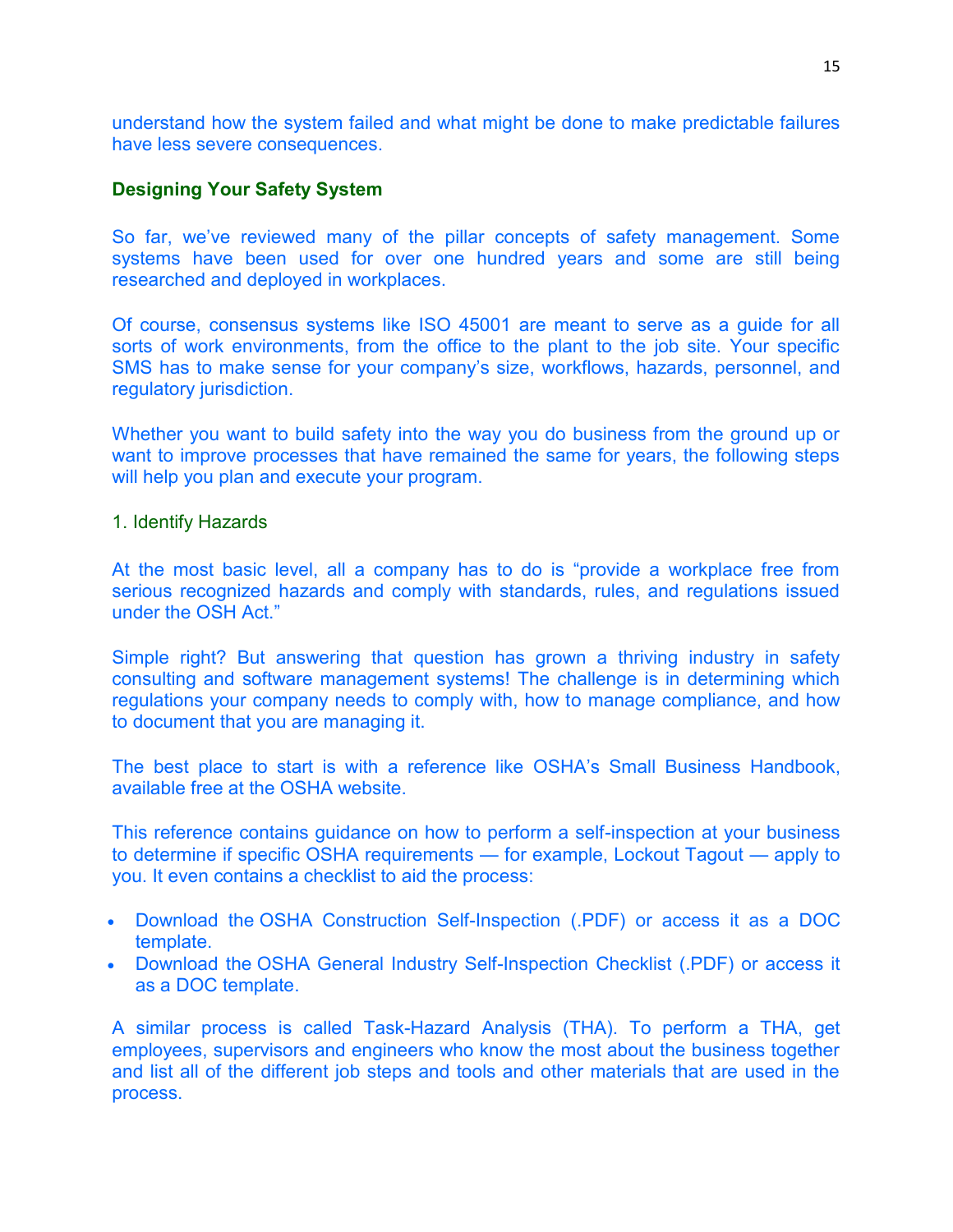understand how the system failed and what might be done to make predictable failures have less severe consequences.

#### **Designing Your Safety System**

So far, we've reviewed many of the pillar concepts of safety management. Some systems have been used for over one hundred years and some are still being researched and deployed in workplaces.

Of course, consensus systems like ISO 45001 are meant to serve as a guide for all sorts of work environments, from the office to the plant to the job site. Your specific SMS has to make sense for your company's size, workflows, hazards, personnel, and regulatory jurisdiction.

Whether you want to build safety into the way you do business from the ground up or want to improve processes that have remained the same for years, the following steps will help you plan and execute your program.

#### 1. Identify Hazards

At the most basic level, all a company has to do is "provide a workplace free from serious recognized hazards and comply with standards, rules, and regulations issued under the OSH Act."

Simple right? But answering that question has grown a thriving industry in safety consulting and software management systems! The challenge is in determining which regulations your company needs to comply with, how to manage compliance, and how to document that you are managing it.

The best place to start is with a reference like OSHA's Small Business Handbook, available free at the OSHA website.

This reference contains guidance on how to perform a self-inspection at your business to determine if specific OSHA requirements — for example, Lockout Tagout — apply to you. It even contains a checklist to aid the process:

- Download the OSHA Construction Self-Inspection (.PDF) or access it as a DOC template.
- Download the OSHA General Industry Self-Inspection Checklist (.PDF) or access it as a DOC template.

A similar process is called Task-Hazard Analysis (THA). To perform a THA, get employees, supervisors and engineers who know the most about the business together and list all of the different job steps and tools and other materials that are used in the process.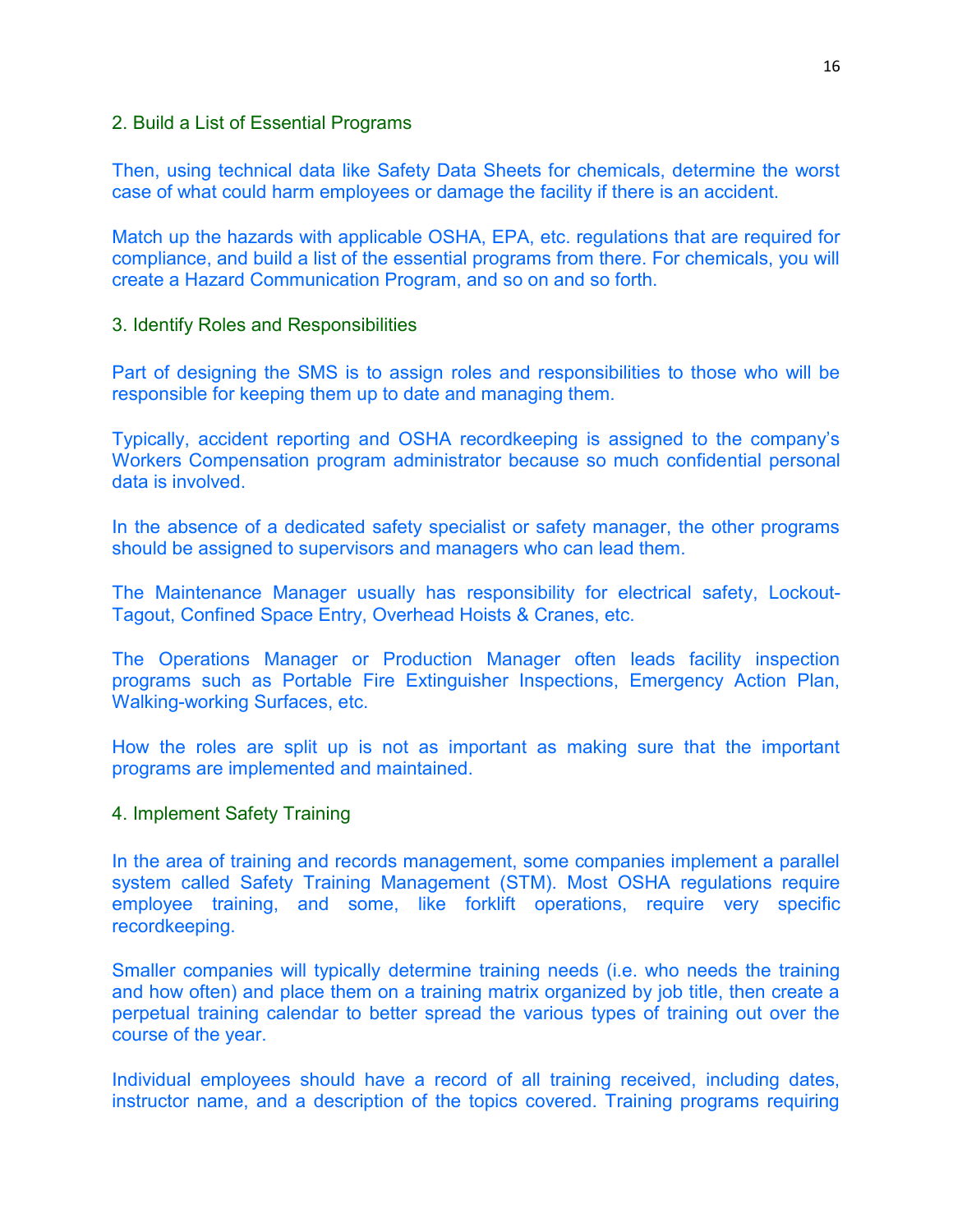#### 2. Build a List of Essential Programs

Then, using technical data like Safety Data Sheets for chemicals, determine the worst case of what could harm employees or damage the facility if there is an accident.

Match up the hazards with applicable OSHA, EPA, etc. regulations that are required for compliance, and build a list of the essential programs from there. For chemicals, you will create a Hazard Communication Program, and so on and so forth.

#### 3. Identify Roles and Responsibilities

Part of designing the SMS is to assign roles and responsibilities to those who will be responsible for keeping them up to date and managing them.

Typically, accident reporting and OSHA recordkeeping is assigned to the company's Workers Compensation program administrator because so much confidential personal data is involved.

In the absence of a dedicated safety specialist or safety manager, the other programs should be assigned to supervisors and managers who can lead them.

The Maintenance Manager usually has responsibility for electrical safety, Lockout-Tagout, Confined Space Entry, Overhead Hoists & Cranes, etc.

The Operations Manager or Production Manager often leads facility inspection programs such as Portable Fire Extinguisher Inspections, Emergency Action Plan, Walking-working Surfaces, etc.

How the roles are split up is not as important as making sure that the important programs are implemented and maintained.

#### 4. Implement Safety Training

In the area of training and records management, some companies implement a parallel system called Safety Training Management (STM). Most OSHA regulations require employee training, and some, like forklift operations, require very specific recordkeeping.

Smaller companies will typically determine training needs (i.e. who needs the training and how often) and place them on a training matrix organized by job title, then create a perpetual training calendar to better spread the various types of training out over the course of the year.

Individual employees should have a record of all training received, including dates, instructor name, and a description of the topics covered. Training programs requiring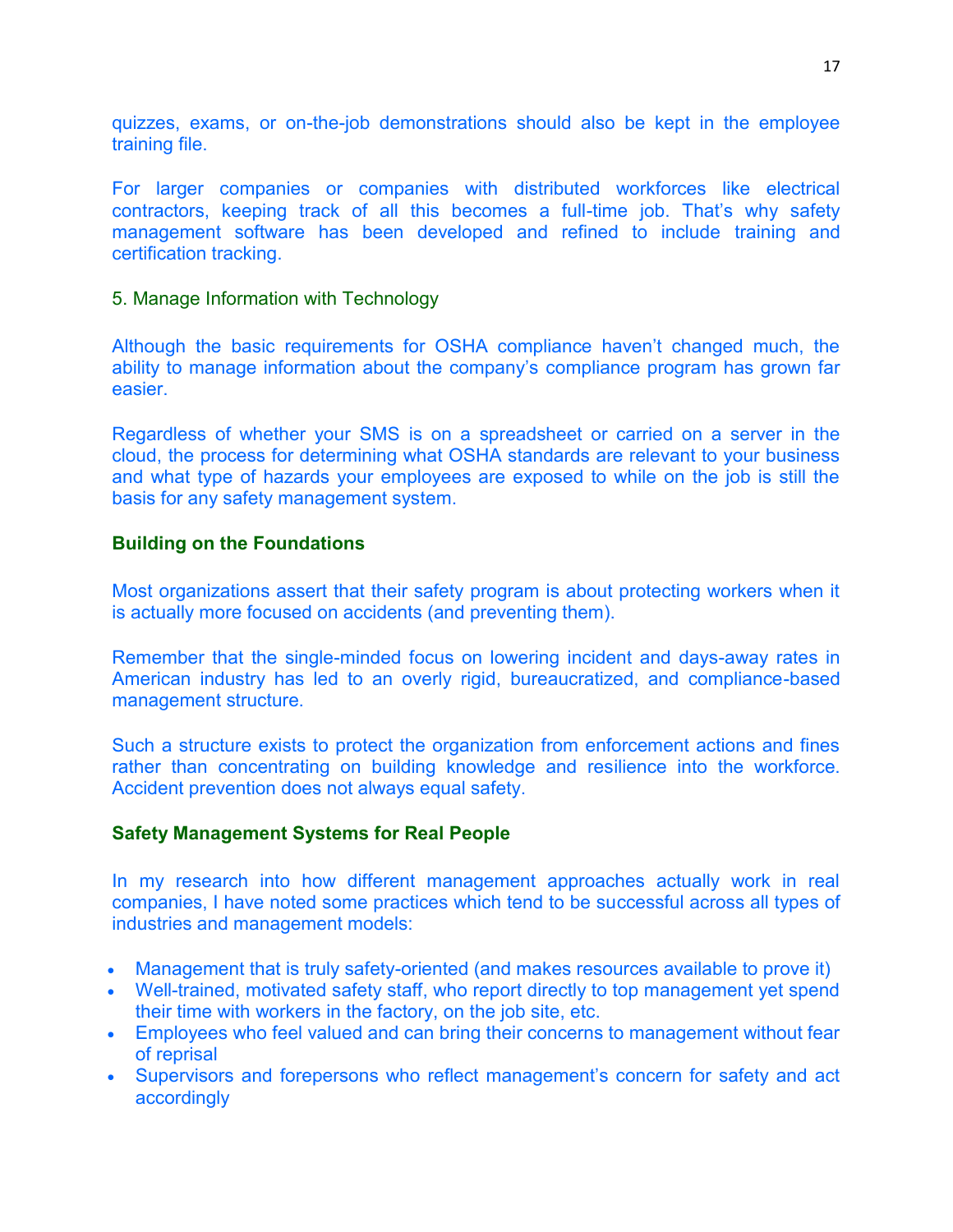quizzes, exams, or on-the-job demonstrations should also be kept in the employee training file.

For larger companies or companies with distributed workforces like electrical contractors, keeping track of all this becomes a full-time job. That's why safety management software has been developed and refined to include training and certification tracking.

## 5. Manage Information with Technology

Although the basic requirements for OSHA compliance haven't changed much, the ability to manage information about the company's compliance program has grown far easier.

Regardless of whether your SMS is on a spreadsheet or carried on a server in the cloud, the process for determining what OSHA standards are relevant to your business and what type of hazards your employees are exposed to while on the job is still the basis for any safety management system.

## **Building on the Foundations**

Most organizations assert that their safety program is about protecting workers when it is actually more focused on accidents (and preventing them).

Remember that the single-minded focus on lowering incident and days-away rates in American industry has led to an overly rigid, bureaucratized, and compliance-based management structure.

Such a structure exists to protect the organization from enforcement actions and fines rather than concentrating on building knowledge and resilience into the workforce. Accident prevention does not always equal safety.

## **Safety Management Systems for Real People**

In my research into how different management approaches actually work in real companies, I have noted some practices which tend to be successful across all types of industries and management models:

- Management that is truly safety-oriented (and makes resources available to prove it)
- Well-trained, motivated safety staff, who report directly to top management yet spend their time with workers in the factory, on the job site, etc.
- Employees who feel valued and can bring their concerns to management without fear of reprisal
- Supervisors and forepersons who reflect management's concern for safety and act accordingly